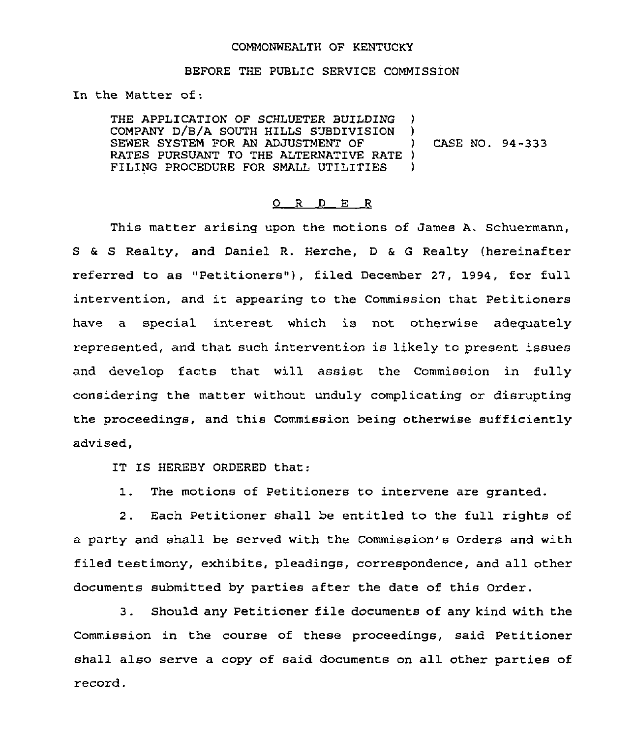## COMMONWEALTH OF KENTUCKY

## BEFORE THE PUBLIC SERVICE COMMISSION

In the Matter of:

THE APPLICATION OF SCHLUETER BUILDING )<br>COMPANY D/B/A SOUTH HILLS SUBDIVISION ) COMPANY D/B/A SOUTH HILLS SUBDIVISION ) SEWER SYSTEM FOR AN ADJUSTMENT OF ) RATES PURSUANT TO THE ALTERNATIVE RATE )<br>FILING PROCEDURE FOR SMALL UTILITIES ) FILING PROCEDURE FOR SMALL UTILITIES ) CASE NO. 94-333

## 0 <sup>R</sup> <sup>D</sup> E <sup>R</sup>

This matter arising upon the motions of James A. Schuermann, S a S Realty, and Daniel R. Herche, <sup>D</sup> & <sup>G</sup> Realty (hereinafter referred to as "Petitioners"), filed December 27, 1994, for full intervention, and it appearing to the Commission that Petitioners have a special interest which is not. otherwise adequately represented, and that such intervention is likely to present issues and develop facts that will assist the Commission in fully considering the matter without unduly complicating or disrupting the proceedings, and this Commission being otherwise sufficiently advised,

IT IS HEREBY ORDERED that:

1. The motions of Petitioners to intervene are granted.

2. Each Petitioner shall be entitled to the full rights of a party and shall be served with the Commission's Orders and with filed testimony, exhibits, pleadings, correspondence, and all other documents submitted by parties after the date of this Order.

3. Should any Petitioner file documents of any kind with the Commission in the course of these proceedings, said Petitioner shall also serve a copy of said documents on all other parties of record.